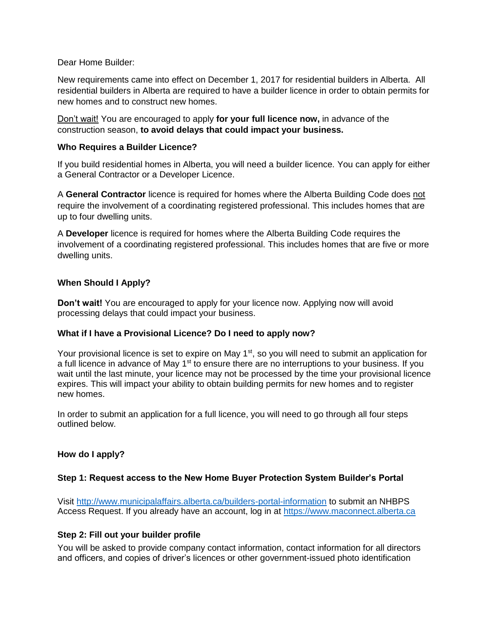Dear Home Builder:

New requirements came into effect on December 1, 2017 for residential builders in Alberta. All residential builders in Alberta are required to have a builder licence in order to obtain permits for new homes and to construct new homes.

Don't wait! You are encouraged to apply **for your full licence now,** in advance of the construction season, **to avoid delays that could impact your business.**

### **Who Requires a Builder Licence?**

If you build residential homes in Alberta, you will need a builder licence. You can apply for either a General Contractor or a Developer Licence.

A **General Contractor** licence is required for homes where the Alberta Building Code does not require the involvement of a coordinating registered professional. This includes homes that are up to four dwelling units.

A **Developer** licence is required for homes where the Alberta Building Code requires the involvement of a coordinating registered professional. This includes homes that are five or more dwelling units.

# **When Should I Apply?**

**Don't wait!** You are encouraged to apply for your licence now. Applying now will avoid processing delays that could impact your business.

### **What if I have a Provisional Licence? Do I need to apply now?**

Your provisional licence is set to expire on May 1<sup>st</sup>, so you will need to submit an application for a full licence in advance of May 1<sup>st</sup> to ensure there are no interruptions to your business. If you wait until the last minute, your licence may not be processed by the time your provisional licence expires. This will impact your ability to obtain building permits for new homes and to register new homes.

In order to submit an application for a full licence, you will need to go through all four steps outlined below.

### **How do I apply?**

### **Step 1: Request access to the New Home Buyer Protection System Builder's Portal**

Visit<http://www.municipalaffairs.alberta.ca/builders-portal-information> to submit an NHBPS Access Request. If you already have an account, log in at [https://www.maconnect.alberta.ca](https://www.maconnect.alberta.ca/)

### **Step 2: Fill out your builder profile**

You will be asked to provide company contact information, contact information for all directors and officers, and copies of driver's licences or other government-issued photo identification